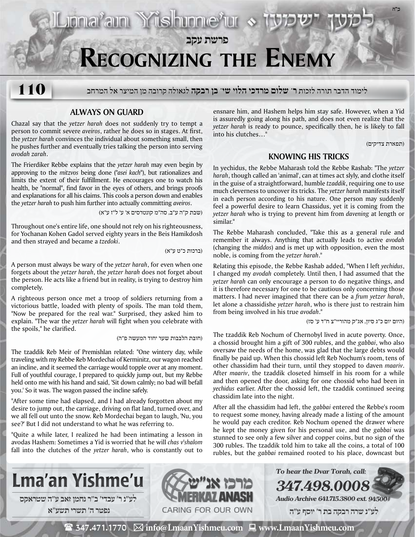# **Recognizing the Enemy**

**פרשת עקב**

לימוד הדבר תורה לזכות **ר' שלום מרדכי הלוי שי' בן רבקה** לגאולה קרובה מן המיצר אל המרחב **110**

### **Always on Guard**

Chazal say that the *yetzer harah* does not suddenly try to tempt a person to commit severe *aveiros*, rather he does so in stages. At first, the *yetzer harah* convinces the individual about something small, then he pushes further and eventually tries talking the person into serving *avodah zarah*.

The Frierdiker Rebbe explains that the *yetzer harah* may even begin by approving to the *mitzvos* being done (*"asei kach"*), but rationalizes and limits the extent of their fulfillment. He encourages one to watch his health, be "normal", find favor in the eyes of others, and brings proofs and explanations for all his claims. This cools a person down and enables the *yetzer harah* to push him further into actually committing *aveiros*.

(שבת ק"ה ע"ב, סה"מ קונטרסים א' ע' ל"ז ע"א)

Liona<sup>2</sup>ain Yüshinne<sup>2</sup>ur «

Throughout one's entire life, one should not rely on his righteousness, for Yochanan Kohen Gadol served eighty years in the Beis Hamikdosh and then strayed and became a *tzedoki*.

(ברכות כ"ט ע"א)

A person must always be wary of the *yetzer harah*, for even when one forgets about the *yetzer harah*, the *yetzer harah* does not forget about the person. He acts like a friend but in reality, is trying to destroy him completely.

A righteous person once met a troop of soldiers returning from a victorious battle, loaded with plenty of spoils. The man told them, "Now be prepared for the real war." Surprised, they asked him to explain. "The war the *yetzer harah* will fight when you celebrate with the spoils," he clarified.

(חובת הלבבות שער יחוד המעשה פ"ה)

The tzaddik Reb Meir of Premishlan related: "One wintery day, while traveling with my Rebbe Reb Mordechai of Kerminitz, our wagon reached an incline, and it seemed the carriage would topple over at any moment. Full of youthful courage, I prepared to quickly jump out, but my Rebbe held onto me with his hand and said, 'Sit down calmly; no bad will befall you.' So it was. The wagon passed the incline safely.

"After some time had elapsed, and I had already forgotten about my desire to jump out, the carriage, driving on flat land, turned over, and we all fell out unto the snow. Reb Mordechai began to laugh, 'Nu, you see?' But I did not understand to what he was referring to.

"Quite a while later, I realized he had been intimating a lesson in avodas Hashem: Sometimes a Yid is worried that he will *chas v'shalom* fall into the clutches of the *yetzer harah*, who is constantly out to ensnare him, and Hashem helps him stay safe. However, when a Yid is assuredly going along his path, and does not even realize that the *yetzer harah* is ready to pounce, specifically then, he is likely to fall into his clutches…"

(תפארת צדיקים)

**ב"ה**

### **Knowing his Tricks**

In yechidus, the Rebbe Maharash told the Rebbe Rashab: "The *yetzer harah*, though called an 'animal', can at times act slyly, and clothe itself in the guise of a straightforward, humble *tzaddik*, requiring one to use much cleverness to uncover its tricks. The *yetzer harah* manifests itself in each person according to his nature. One person may suddenly feel a powerful desire to learn Chassidus, yet it is coming from the *yetzer harah* who is trying to prevent him from *davening* at length or similar."

The Rebbe Maharash concluded, "Take this as a general rule and remember it always. Anything that actually leads to active *avodah* (changing the *middos*) and is met up with opposition, even the most noble, is coming from the *yetzer harah*."

Relating this episode, the Rebbe Rashab added, "When I left *yechidus*, I changed my *avodah* completely. Until then, I had assumed that the *yetzer harah* can only encourage a person to do negative things, and it is therefore necessary for one to be cautious only concerning those matters. I had never imagined that there can be a *frum yetzer harah*, let alone a chassidishe *yetzer harah*, who is there just to restrain him from being involved in his true *avodah*."

(היום יום כ"ג סיון, אג"ק מהוריי"צ ח"ד ע' סז)

The tzaddik Reb Nochum of Chernobyl lived in acute poverty. Once, a chossid brought him a gift of 300 rubles, and the *gabbai*, who also oversaw the needs of the home, was glad that the large debts would finally be paid up. When this chossid left Reb Nochum's room, tens of other chassidim had their turn, until they stopped to daven *maariv*. After *maariv*, the tzaddik closeted himself in his room for a while and then opened the door, asking for one chossid who had been in *yechidus* earlier. After the chossid left, the tzaddik continued seeing chassidim late into the night.

After all the chassidim had left, the *gabbai* entered the Rebbe's room to request some money, having already made a listing of the amount he would pay each creditor. Reb Nochum opened the drawer where he kept the money given for his personal use, and the *gabbai* was stunned to see only a few silver and copper coins, but no sign of the 300 rubles. The tzaddik told him to take all the coins, a total of 100 rubles, but the *gabbai* remained rooted to his place, downcast but



**נפטר ה׳ תשרי תשע**"**א**



**Audio Archive 641.715.3800 ext. 94500#**

**To hear the Dvar Torah, call:**

**347.498.00** 

 **לע"נ שרה רבקה בת ר׳ יוסף ע"ה**